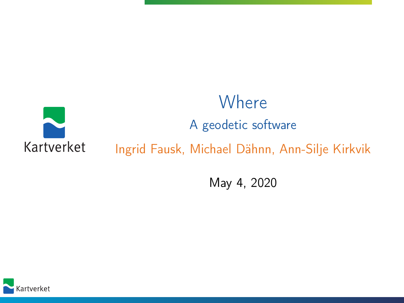#### **Where** A geodetic software Kartverket Ingrid Fausk, Michael Dähnn, Ann-Silje Kirkvik

May 4, 2020

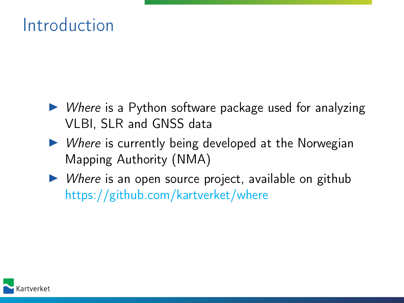#### Introduction

- $\triangleright$  Where is a Python software package used for analyzing VLBI, SLR and GNSS data
- $\triangleright$  Where is currently being developed at the Norwegian Mapping Authority (NMA)
- $\triangleright$  Where is an open source project, available on github <https://github.com/kartverket/where>

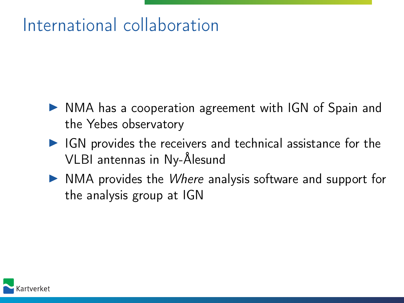## International collaboration

- $\triangleright$  NMA has a cooperation agreement with IGN of Spain and the Yebes observatory
- $\blacktriangleright$  IGN provides the receivers and technical assistance for the VLBI antennas in Ny-Ålesund
- $\triangleright$  NMA provides the *Where* analysis software and support for the analysis group at IGN

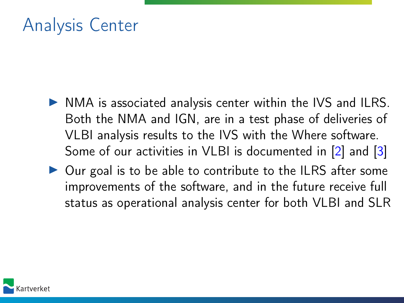### Analysis Center

- $\triangleright$  NMA is associated analysis center within the IVS and ILRS. Both the NMA and IGN, are in a test phase of deliveries of VLBI analysis results to the IVS with the Where software. Some of our activities in VLBI is documented in [\[2\]](#page-11-0) and [\[3\]](#page-11-1)
- $\triangleright$  Our goal is to be able to contribute to the ILRS after some improvements of the software, and in the future receive full status as operational analysis center for both VLBI and SLR

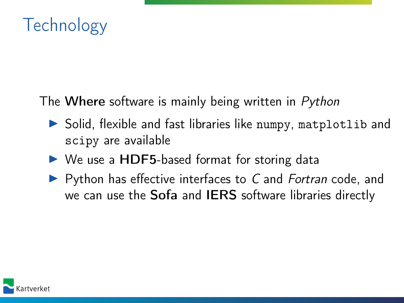

The Where software is mainly being written in Python

- $\triangleright$  Solid, flexible and fast libraries like numpy, matplotlib and scipy are available
- $\triangleright$  We use a HDF5-based format for storing data
- $\blacktriangleright$  Python has effective interfaces to C and Fortran code, and we can use the Sofa and IERS software libraries directly

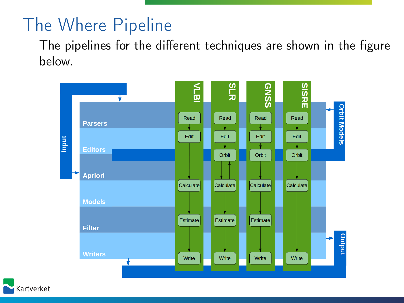# The Where Pipeline

The pipelines for the different techniques are shown in the figure below.



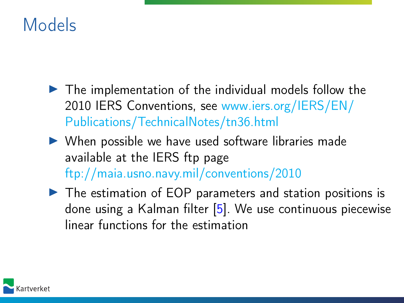## Models

- $\blacktriangleright$  The implementation of the individual models follow the 2010 IERS Conventions, see [www.iers.org/IERS/EN/](www.iers.org/IERS/EN/Publications/TechnicalNotes/tn36.html) [Publications/TechnicalNotes/tn36.html](www.iers.org/IERS/EN/Publications/TechnicalNotes/tn36.html)
- $\triangleright$  When possible we have used software libraries made available at the IERS ftp page <ftp://maia.usno.navy.mil/conventions/2010>
- $\triangleright$  The estimation of EOP parameters and station positions is done using a Kalman filter [\[5\]](#page-11-2). We use continuous piecewise linear functions for the estimation

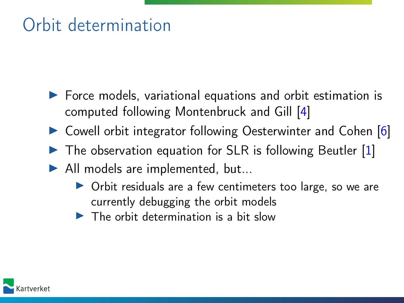# Orbit determination

- $\blacktriangleright$  Force models, variational equations and orbit estimation is computed following Montenbruck and Gill [\[4\]](#page-11-3)
- ▶ Cowell orbit integrator following Oesterwinter and Cohen [\[6\]](#page-11-4)
- $\triangleright$  The observation equation for SLR is following Beutler [\[1\]](#page-11-5)
- $\blacktriangleright$  All models are implemented, but...
	- $\triangleright$  Orbit residuals are a few centimeters too large, so we are currently debugging the orbit models
	- $\blacktriangleright$  The orbit determination is a bit slow

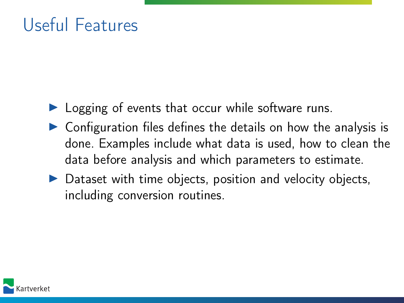## Useful Features

- $\blacktriangleright$  Logging of events that occur while software runs.
- $\triangleright$  Configuration files defines the details on how the analysis is done. Examples include what data is used, how to clean the data before analysis and which parameters to estimate.
- $\triangleright$  Dataset with time objects, position and velocity objects, including conversion routines.

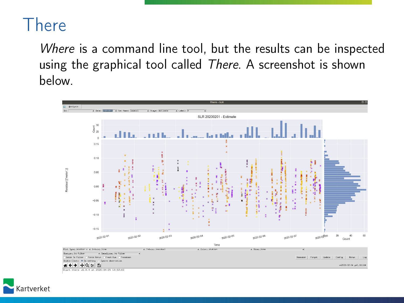#### There

Where is a command line tool, but the results can be inspected using the graphical tool called There. A screenshot is shown below.

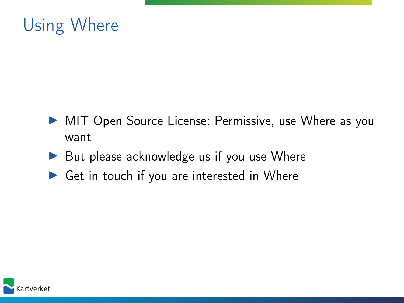

- I MIT Open Source License: Permissive, use Where as you want
- $\triangleright$  But please acknowledge us if you use Where
- $\triangleright$  Get in touch if you are interested in Where